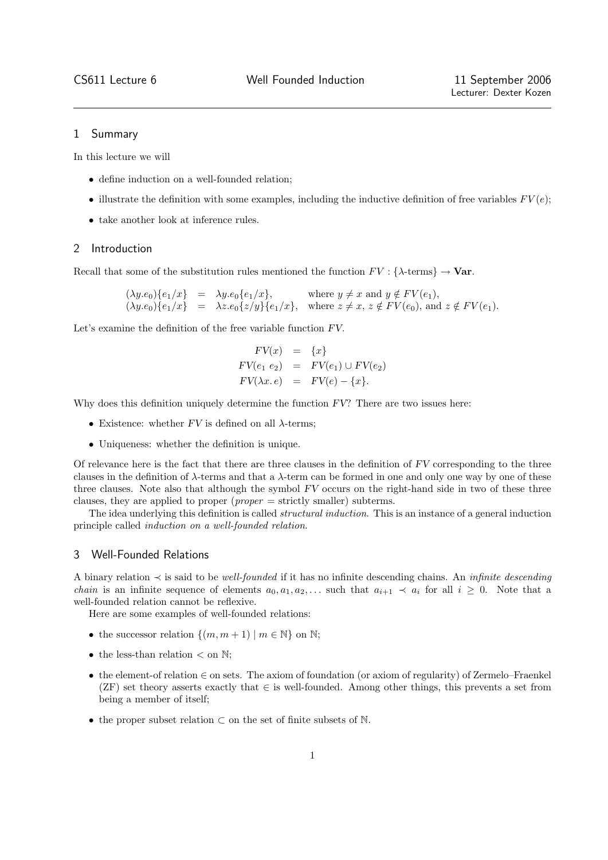### 1 Summary

In this lecture we will

- define induction on a well-founded relation;
- illustrate the definition with some examples, including the inductive definition of free variables  $FV(e)$ ;
- take another look at inference rules.

## 2 Introduction

Recall that some of the substitution rules mentioned the function  $FV : \{\lambda\text{-terms}\}\to \text{Var}.$ 

 $(\lambda y.e_0)\{e_1/x\}$  =  $\lambda y.e_0\{e_1/x\}$ , where  $y \neq x$  and  $y \notin FV(e_1)$ ,  $(\lambda y.e_0)\{e_1/x\}$  =  $\lambda z.e_0\{z/y\}\{e_1/x\}$ , where  $z \neq x$ ,  $z \notin FV(e_0)$ , and  $z \notin FV(e_1)$ .

Let's examine the definition of the free variable function FV.

$$
FV(x) = \{x\}
$$
  
\n
$$
FV(e_1 e_2) = FV(e_1) \cup FV(e_2)
$$
  
\n
$$
FV(\lambda x. e) = FV(e) - \{x\}.
$$

Why does this definition uniquely determine the function  $FV$ ? There are two issues here:

- Existence: whether  $FV$  is defined on all  $\lambda$ -terms;
- Uniqueness: whether the definition is unique.

Of relevance here is the fact that there are three clauses in the definition of FV corresponding to the three clauses in the definition of  $\lambda$ -terms and that a  $\lambda$ -term can be formed in one and only one way by one of these three clauses. Note also that although the symbol FV occurs on the right-hand side in two of these three clauses, they are applied to proper (proper = strictly smaller) subterms.

The idea underlying this definition is called *structural induction*. This is an instance of a general induction principle called induction on a well-founded relation.

# 3 Well-Founded Relations

A binary relation  $\prec$  is said to be well-founded if it has no infinite descending chains. An *infinite descending chain* is an infinite sequence of elements  $a_0, a_1, a_2, \ldots$  such that  $a_{i+1} \prec a_i$  for all  $i \geq 0$ . Note that a well-founded relation cannot be reflexive.

Here are some examples of well-founded relations:

- the successor relation  $\{(m, m+1) \mid m \in \mathbb{N}\}\)$  on  $\mathbb{N};$
- the less-than relation  $\lt$  on  $\mathbb{N}$ :
- the element-of relation ∈ on sets. The axiom of foundation (or axiom of regularity) of Zermelo–Fraenkel (ZF) set theory asserts exactly that  $\in$  is well-founded. Among other things, this prevents a set from being a member of itself;
- the proper subset relation ⊂ on the set of finite subsets of N.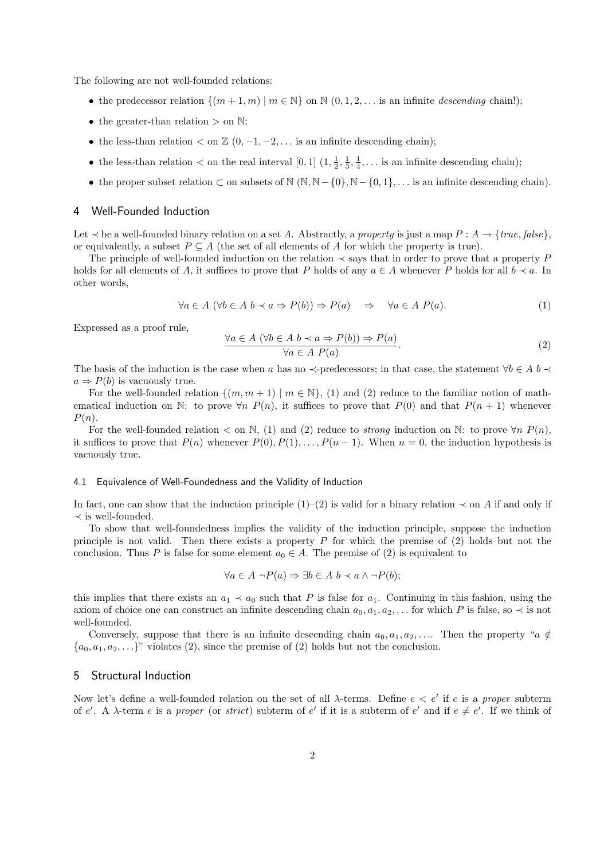The following are not well-founded relations:

- the predecessor relation  $\{(m+1,m) | m \in \mathbb{N}\}\$  on  $\mathbb{N}(0,1,2,...)$  is an infinite descending chain!);
- the greater-than relation  $>$  on  $\mathbb{N}$ :
- the less-than relation  $\lt$  on  $\mathbb{Z}$  (0, -1, -2, ... is an infinite descending chain);
- the less-than relation  $\lt$  on the real interval  $[0,1]$   $(1, \frac{1}{2}, \frac{1}{3}, \frac{1}{4}, \ldots$  is an infinite descending chain);
- the proper subset relation  $\subset$  on subsets of  $\mathbb{N}$  ( $\mathbb{N}, \mathbb{N}$  {0},  $\mathbb{N}$  {0, 1}, ... is an infinite descending chain).

#### 4 Well-Founded Induction

Let  $\prec$  be a well-founded binary relation on a set A. Abstractly, a property is just a map  $P : A \rightarrow \{true, false\}$ , or equivalently, a subset  $P \subseteq A$  (the set of all elements of A for which the property is true).

The principle of well-founded induction on the relation  $\prec$  says that in order to prove that a property P holds for all elements of A, it suffices to prove that P holds of any  $a \in A$  whenever P holds for all  $b \prec a$ . In other words,

$$
\forall a \in A \ (\forall b \in A \ b \prec a \Rightarrow P(b)) \Rightarrow P(a) \quad \Rightarrow \quad \forall a \in A \ P(a). \tag{1}
$$

Expressed as a proof rule,

$$
\frac{\forall a \in A \ (\forall b \in A \ b \prec a \Rightarrow P(b)) \Rightarrow P(a)}{\forall a \in A \ P(a)}.\tag{2}
$$

The basis of the induction is the case when a has no  $\prec$ -predecessors; in that case, the statement  $\forall b \in A$  b  $\prec$  $a \Rightarrow P(b)$  is vacuously true.

For the well-founded relation  $\{(m, m + 1) \mid m \in \mathbb{N}\},$  (1) and (2) reduce to the familiar notion of mathematical induction on N: to prove  $\forall n \ P(n)$ , it suffices to prove that  $P(0)$  and that  $P(n + 1)$  whenever  $P(n)$ .

For the well-founded relation  $\lt$  on N, (1) and (2) reduce to *strong* induction on N: to prove  $\forall n \ P(n)$ , it suffices to prove that  $P(n)$  whenever  $P(0), P(1), \ldots, P(n-1)$ . When  $n = 0$ , the induction hypothesis is vacuously true.

### 4.1 Equivalence of Well-Foundedness and the Validity of Induction

In fact, one can show that the induction principle  $(1)$ – $(2)$  is valid for a binary relation  $\prec$  on A if and only if  $\prec$  is well-founded.

To show that well-foundedness implies the validity of the induction principle, suppose the induction principle is not valid. Then there exists a property  $P$  for which the premise of  $(2)$  holds but not the conclusion. Thus P is false for some element  $a_0 \in A$ . The premise of (2) is equivalent to

$$
\forall a \in A \ \neg P(a) \Rightarrow \exists b \in A \ b \prec a \land \neg P(b);
$$

this implies that there exists an  $a_1 \prec a_0$  such that P is false for  $a_1$ . Continuing in this fashion, using the axiom of choice one can construct an infinite descending chain  $a_0, a_1, a_2, \ldots$  for which P is false, so  $\prec$  is not well-founded.

Conversely, suppose that there is an infinite descending chain  $a_0, a_1, a_2, \ldots$ . Then the property "a  $\notin$  ${a_0, a_1, a_2, \ldots}$ " violates (2), since the premise of (2) holds but not the conclusion.

# 5 Structural Induction

Now let's define a well-founded relation on the set of all  $\lambda$ -terms. Define  $e < e'$  if e is a proper subterm of e'. A  $\lambda$ -term e is a proper (or strict) subterm of e' if it is a subterm of e' and if  $e \neq e'$ . If we think of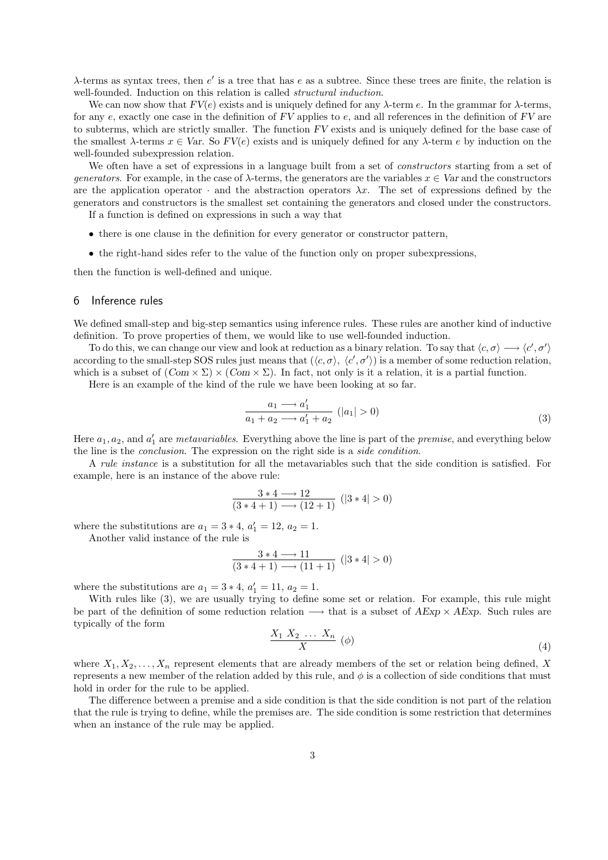$\lambda$ -terms as syntax trees, then e' is a tree that has e as a subtree. Since these trees are finite, the relation is well-founded. Induction on this relation is called *structural induction*.

We can now show that  $FV(e)$  exists and is uniquely defined for any  $\lambda$ -term e. In the grammar for  $\lambda$ -terms, for any  $e$ , exactly one case in the definition of  $FV$  applies to  $e$ , and all references in the definition of  $FV$  are to subterms, which are strictly smaller. The function FV exists and is uniquely defined for the base case of the smallest  $\lambda$ -terms  $x \in Var$ . So  $FV(e)$  exists and is uniquely defined for any  $\lambda$ -term e by induction on the well-founded subexpression relation.

We often have a set of expressions in a language built from a set of *constructors* starting from a set of generators. For example, in the case of  $\lambda$ -terms, the generators are the variables  $x \in Var$  and the constructors are the application operator  $\cdot$  and the abstraction operators  $\lambda x$ . The set of expressions defined by the generators and constructors is the smallest set containing the generators and closed under the constructors.

If a function is defined on expressions in such a way that

- there is one clause in the definition for every generator or constructor pattern,
- the right-hand sides refer to the value of the function only on proper subexpressions,

then the function is well-defined and unique.

#### 6 Inference rules

We defined small-step and big-step semantics using inference rules. These rules are another kind of inductive definition. To prove properties of them, we would like to use well-founded induction.

To do this, we can change our view and look at reduction as a binary relation. To say that  $\langle c, \sigma \rangle \longrightarrow \langle c', \sigma' \rangle$ according to the small-step SOS rules just means that  $(\langle c, \sigma \rangle, \langle c', \sigma' \rangle)$  is a member of some reduction relation, which is a subset of  $(Com \times \Sigma) \times (Com \times \Sigma)$ . In fact, not only is it a relation, it is a partial function.

Here is an example of the kind of the rule we have been looking at so far.

$$
\frac{a_1 \longrightarrow a_1'}{a_1 + a_2 \longrightarrow a_1' + a_2} \quad (|a_1| > 0)
$$
\n
$$
(3)
$$

Here  $a_1, a_2$ , and  $a'_1$  are *metavariables*. Everything above the line is part of the *premise*, and everything below the line is the conclusion. The expression on the right side is a side condition.

A rule instance is a substitution for all the metavariables such that the side condition is satisfied. For example, here is an instance of the above rule:

$$
\frac{3*4 \longrightarrow 12}{(3*4+1) \longrightarrow (12+1)} \ (|3*4| > 0)
$$

where the substitutions are  $a_1 = 3 * 4$ ,  $a'_1 = 12$ ,  $a_2 = 1$ .

Another valid instance of the rule is

$$
\frac{3*4 \longrightarrow 11}{(3*4+1) \longrightarrow (11+1)} \ (|3*4| > 0)
$$

where the substitutions are  $a_1 = 3 * 4$ ,  $a'_1 = 11$ ,  $a_2 = 1$ .

With rules like  $(3)$ , we are usually trying to define some set or relation. For example, this rule might be part of the definition of some reduction relation  $\longrightarrow$  that is a subset of  $AExp \times AExp$ . Such rules are typically of the form

$$
\frac{X_1 X_2 \dots X_n}{X} \quad (\phi) \tag{4}
$$

where  $X_1, X_2, \ldots, X_n$  represent elements that are already members of the set or relation being defined, X represents a new member of the relation added by this rule, and  $\phi$  is a collection of side conditions that must hold in order for the rule to be applied.

The difference between a premise and a side condition is that the side condition is not part of the relation that the rule is trying to define, while the premises are. The side condition is some restriction that determines when an instance of the rule may be applied.